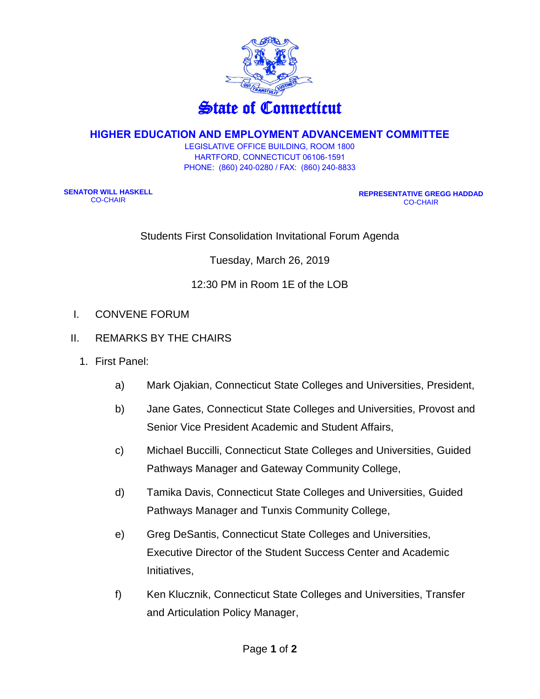

## **HIGHER EDUCATION AND EMPLOYMENT ADVANCEMENT COMMITTEE**

LEGISLATIVE OFFICE BUILDING, ROOM 1800 HARTFORD, CONNECTICUT 06106-1591 PHONE: (860) 240-0280 / FAX: (860) 240-8833

**SENATOR WILL HASKELL** CO-CHAIR

**REPRESENTATIVE GREGG HADDAD** CO-CHAIR

Students First Consolidation Invitational Forum Agenda

Tuesday, March 26, 2019

## 12:30 PM in Room 1E of the LOB

- I. CONVENE FORUM
- II. REMARKS BY THE CHAIRS
	- 1. First Panel:
		- a) Mark Ojakian, Connecticut State Colleges and Universities, President,
		- b) Jane Gates, Connecticut State Colleges and Universities, Provost and Senior Vice President Academic and Student Affairs,
		- c) Michael Buccilli, Connecticut State Colleges and Universities, Guided Pathways Manager and Gateway Community College,
		- d) Tamika Davis, Connecticut State Colleges and Universities, Guided Pathways Manager and Tunxis Community College,
		- e) Greg DeSantis, Connecticut State Colleges and Universities, Executive Director of the Student Success Center and Academic Initiatives,
		- f) Ken Klucznik, Connecticut State Colleges and Universities, Transfer and Articulation Policy Manager,